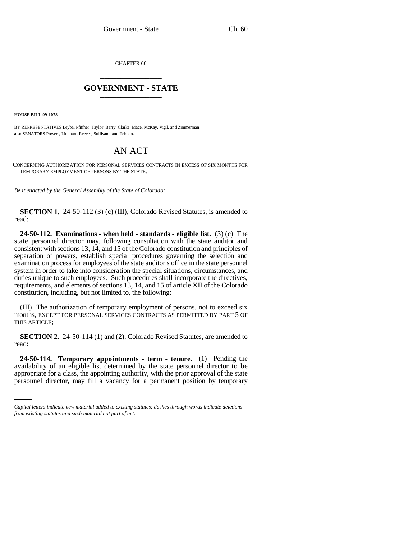CHAPTER 60 \_\_\_\_\_\_\_\_\_\_\_\_\_\_\_

## **GOVERNMENT - STATE** \_\_\_\_\_\_\_\_\_\_\_\_\_\_\_

**HOUSE BILL 99-1078** 

BY REPRESENTATIVES Leyba, Pfiffner, Taylor, Berry, Clarke, Mace, McKay, Vigil, and Zimmerman; also SENATORS Powers, Linkhart, Reeves, Sullivant, and Tebedo.

## AN ACT

CONCERNING AUTHORIZATION FOR PERSONAL SERVICES CONTRACTS IN EXCESS OF SIX MONTHS FOR TEMPORARY EMPLOYMENT OF PERSONS BY THE STATE.

*Be it enacted by the General Assembly of the State of Colorado:*

**SECTION 1.** 24-50-112 (3) (c) (III), Colorado Revised Statutes, is amended to read:

**24-50-112. Examinations - when held - standards - eligible list.** (3) (c) The state personnel director may, following consultation with the state auditor and consistent with sections 13, 14, and 15 of the Colorado constitution and principles of separation of powers, establish special procedures governing the selection and examination process for employees of the state auditor's office in the state personnel system in order to take into consideration the special situations, circumstances, and duties unique to such employees. Such procedures shall incorporate the directives, requirements, and elements of sections 13, 14, and 15 of article XII of the Colorado constitution, including, but not limited to, the following:

(III) The authorization of temporary employment of persons, not to exceed six months, EXCEPT FOR PERSONAL SERVICES CONTRACTS AS PERMITTED BY PART 5 OF THIS ARTICLE;

**SECTION 2.** 24-50-114 (1) and (2), Colorado Revised Statutes, are amended to read:

availability of an eligible list determined by the state personnel director to be **24-50-114. Temporary appointments - term - tenure.** (1) Pending the appropriate for a class, the appointing authority, with the prior approval of the state personnel director, may fill a vacancy for a permanent position by temporary

*Capital letters indicate new material added to existing statutes; dashes through words indicate deletions from existing statutes and such material not part of act.*